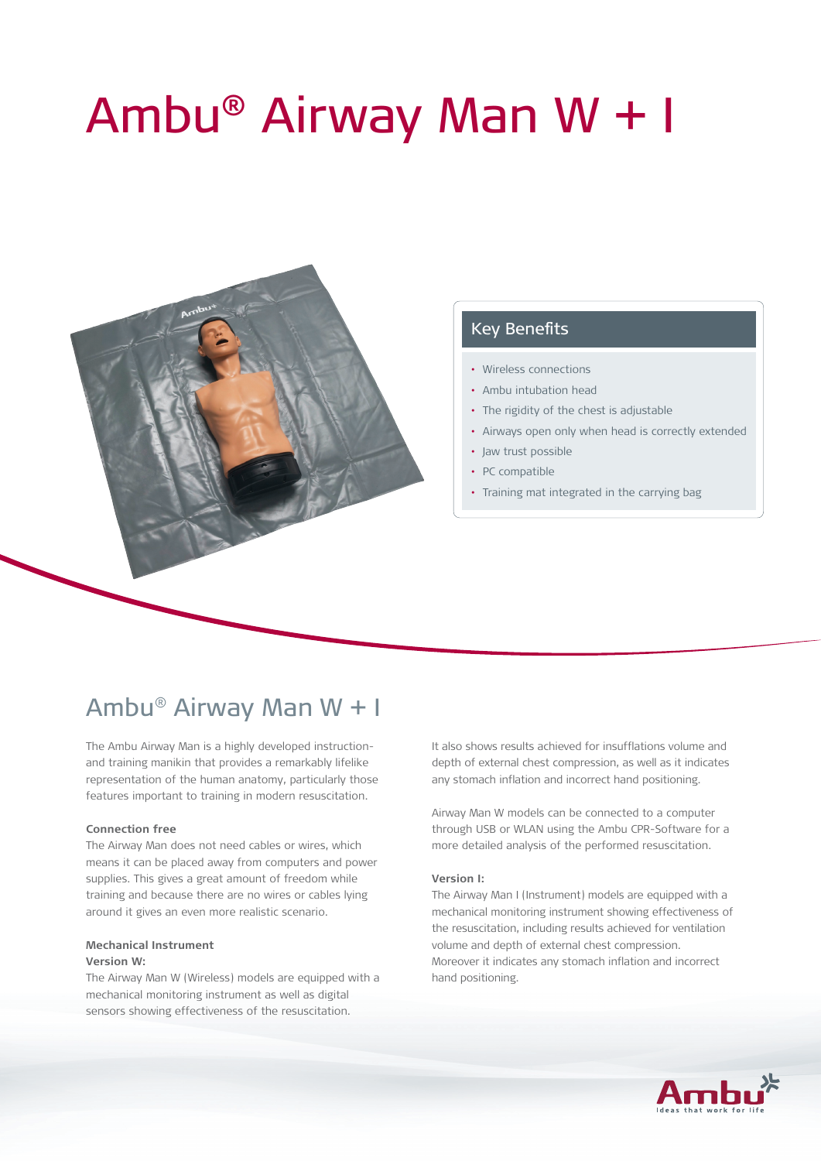# Ambu® Airway Man W + I



## Key Benefits

- • Wireless connections
- • Ambu intubation head
- The rigidity of the chest is adjustable
- Airways open only when head is correctly extended
- Jaw trust possible
- PC compatible
- Training mat integrated in the carrying bag

# Ambu® Airway Man W + I

The Ambu Airway Man is a highly developed instructionand training manikin that provides a remarkably lifelike representation of the human anatomy, particularly those features important to training in modern resuscitation.

#### **Connection free**

The Airway Man does not need cables or wires, which means it can be placed away from computers and power supplies. This gives a great amount of freedom while training and because there are no wires or cables lying around it gives an even more realistic scenario.

#### **Mechanical Instrument Version W:**

The Airway Man W (Wireless) models are equipped with a mechanical monitoring instrument as well as digital sensors showing effectiveness of the resuscitation.

It also shows results achieved for insufflations volume and depth of external chest compression, as well as it indicates any stomach inflation and incorrect hand positioning.

Airway Man W models can be connected to a computer through USB or WLAN using the Ambu CPR-Software for a more detailed analysis of the performed resuscitation.

#### **Version I:**

The Airway Man I (Instrument) models are equipped with a mechanical monitoring instrument showing effectiveness of the resuscitation, including results achieved for ventilation volume and depth of external chest compression. Moreover it indicates any stomach inflation and incorrect hand positioning.